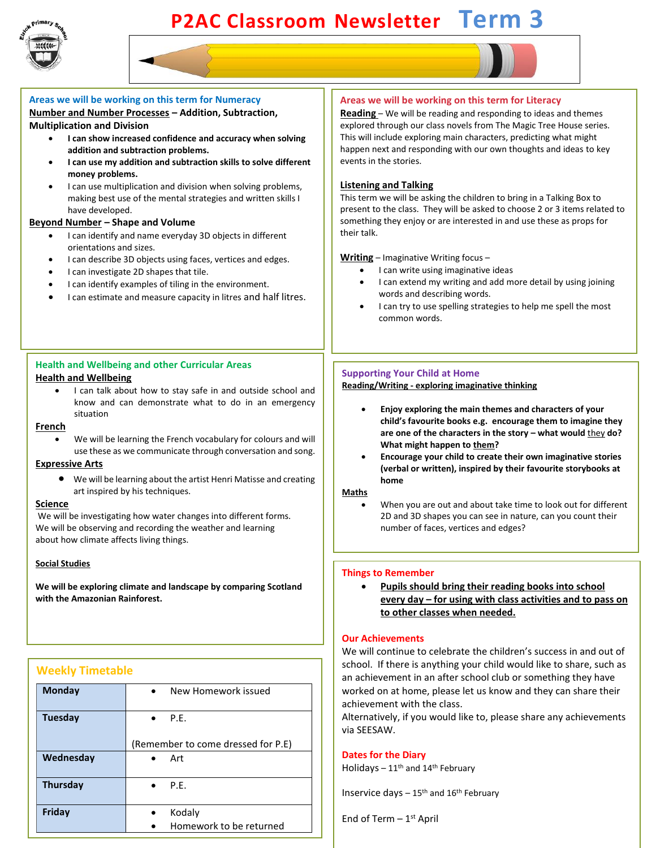

# **P2AC Classroom Newsletter Term 3**



# **Beyond Number – Shape and Volume**

have developed.

- I can identify and name everyday 3D objects in different orientations and sizes.
- I can describe 3D objects using faces, vertices and edges.
- I can investigate 2D shapes that tile.
- I can identify examples of tiling in the environment.
- I can estimate and measure capacity in litres and half litres.

# **Health and Wellbeing and other Curricular Areas Health and Wellbeing**

I can talk about how to stay safe in and outside school and know and can demonstrate what to do in an emergency situation

#### **French**

We will be learning the French vocabulary for colours and will use these as we communicate through conversation and song.

# **Expressive Arts**

• We will be learning about the artist Henri Matisse and creating art inspired by his techniques.

#### **Science**

We will be investigating how water changes into different forms. We will be observing and recording the weather and learning about how climate affects living things.

## **Social Studies**

**We will be exploring climate and landscape by comparing Scotland with the Amazonian Rainforest.**

# **Weekly Timetable**

| <b>Monday</b>   | New Homework issued<br>$\bullet$   |
|-----------------|------------------------------------|
| Tuesday         | $\bullet$ P.F.                     |
|                 | (Remember to come dressed for P.E) |
| Wednesday       | Art<br>$\bullet$                   |
| <b>Thursday</b> | $\bullet$ P.E.                     |
| Friday          | Kodaly                             |
|                 | Homework to be returned            |

present to the class. They will be asked to choose 2 or 3 items related to something they enjoy or are interested in and use these as props for their talk.

#### **Writing** – Imaginative Writing focus –

- I can write using imaginative ideas
- I can extend my writing and add more detail by using joining words and describing words.
- I can try to use spelling strategies to help me spell the most common words.

#### **Supporting Your Child at Home**

#### **Reading/Writing - exploring imaginative thinking**

- **Enjoy exploring the main themes and characters of your child's favourite books e.g. encourage them to imagine they are one of the characters in the story – what would** they **do? What might happen to them?**
- **Encourage your child to create their own imaginative stories (verbal or written), inspired by their favourite storybooks at home**

#### **Maths**

When you are out and about take time to look out for different 2D and 3D shapes you can see in nature, can you count their number of faces, vertices and edges?

#### **Things to Remember**

• **Pupils should bring their reading books into school every day – for using with class activities and to pass on to other classes when needed.** 

#### **Our Achievements**

We will continue to celebrate the children's success in and out of school. If there is anything your child would like to share, such as an achievement in an after school club or something they have worked on at home, please let us know and they can share their achievement with the class.

Alternatively, if you would like to, please share any achievements via SEESAW.

## **Dates for the Diary**

Holidays  $-11$ <sup>th</sup> and  $14$ <sup>th</sup> February

Inservice days  $-15$ <sup>th</sup> and  $16$ <sup>th</sup> February

End of Term - 1<sup>st</sup> April